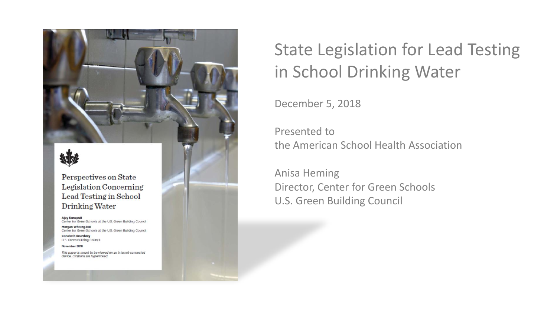Perspectives on State **Legislation Concerning** Lead Testing in School Drinking Water

Ajay Kunapull Center for Green Schools at the U.S. Green Building Council Morgan Whiting-Hill Center for Green Schools at the U.S. Green Building Council **Elizabeth Beardsley** 

U.S. Green Building Council

November 2018

This paper is meant to be viewed on an internet-connected device. Citations are hyperlinked.

# State Legislation for Lead Testing in School Drinking Water

December 5, 2018

Presented to the American School Health Association

Anisa Heming Director, Center for Green Schools U.S. Green Building Council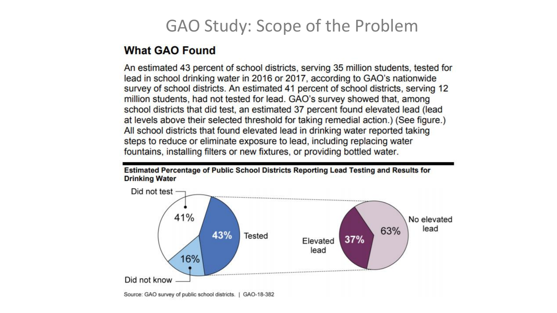#### GAO Study: Scope of the Problem

#### **What GAO Found**

An estimated 43 percent of school districts, serving 35 million students, tested for lead in school drinking water in 2016 or 2017, according to GAO's nationwide survey of school districts. An estimated 41 percent of school districts, serving 12 million students, had not tested for lead. GAO's survey showed that, among school districts that did test, an estimated 37 percent found elevated lead (lead at levels above their selected threshold for taking remedial action.) (See figure.) All school districts that found elevated lead in drinking water reported taking steps to reduce or eliminate exposure to lead, including replacing water fountains, installing filters or new fixtures, or providing bottled water.

Estimated Percentage of Public School Districts Reporting Lead Testing and Results for **Drinking Water** 

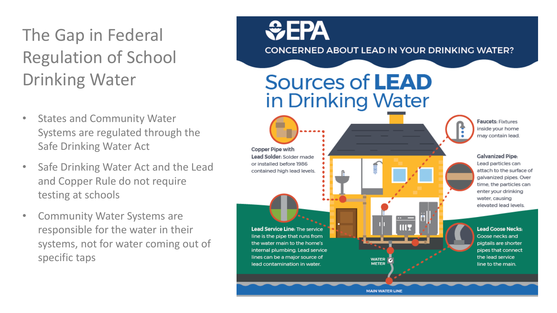# The Gap in Federal Regulation of School Drinking Water

- **States and Community Water** Systems are regulated through the Safe Drinking Water Act
- Safe Drinking Water Act and the Lead and Copper Rule do not require testing at schools
- Community Water Systems are responsible for the water in their systems, not for water coming out of specific taps

# *<u>CHA</u>* **CONCERNED ABOUT LEAD IN YOUR DRINKING WATER?**

# **Sources of LEAD** in Drinking Water

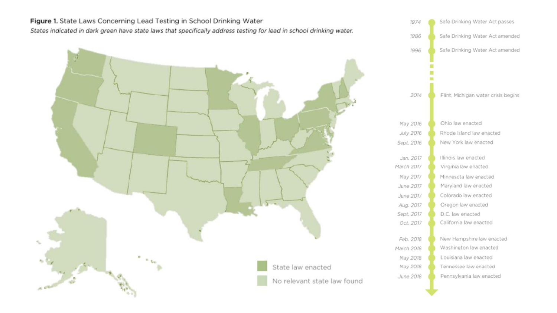Figure 1. State Laws Concerning Lead Testing in School Drinking Water States indicated in dark green have state laws that specifically address testing for lead in school drinking water.



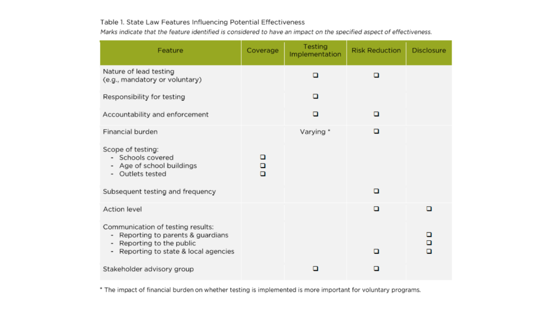#### Table 1. State Law Features Influencing Potential Effectiveness

Marks indicate that the feature identified is considered to have an impact on the specified aspect of effectiveness.

| Feature                                                                                                                                                                                                           | Coverage    | <b>Testing</b><br>Implementation | <b>Risk Reduction</b> | <b>Disclosure</b> |
|-------------------------------------------------------------------------------------------------------------------------------------------------------------------------------------------------------------------|-------------|----------------------------------|-----------------------|-------------------|
| Nature of lead testing<br>(e.g., mandatory or voluntary)                                                                                                                                                          |             | ם                                | о                     |                   |
| Responsibility for testing                                                                                                                                                                                        |             | o                                |                       |                   |
| Accountability and enforcement                                                                                                                                                                                    |             | o                                | o                     |                   |
| Financial burden                                                                                                                                                                                                  |             | Varying *                        | o                     |                   |
| Scope of testing:<br>Schools covered<br>Age of school buildings<br>$\qquad \qquad \blacksquare$<br>Outlets tested<br>$\qquad \qquad \blacksquare$                                                                 | ▫<br>о<br>▫ |                                  |                       |                   |
| Subsequent testing and frequency                                                                                                                                                                                  |             |                                  | o                     |                   |
| <b>Action level</b>                                                                                                                                                                                               |             |                                  | o                     | □                 |
| Communication of testing results:<br>Reporting to parents & guardians<br>$\overline{\phantom{a}}$<br>Reporting to the public<br>$\overline{\phantom{a}}$<br>Reporting to state & local agencies<br>$\blacksquare$ |             |                                  | ◻                     | о<br>о<br>◻       |
| Stakeholder advisory group                                                                                                                                                                                        |             | □                                | ◻                     |                   |

\* The impact of financial burden on whether testing is implemented is more important for voluntary programs.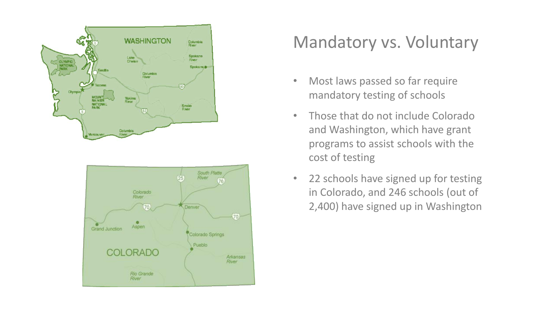



#### Mandatory vs. Voluntary

- Most laws passed so far require mandatory testing of schools
- Those that do not include Colorado and Washington, which have grant programs to assist schools with the cost of testing
- 22 schools have signed up for testing in Colorado, and 246 schools (out of 2,400) have signed up in Washington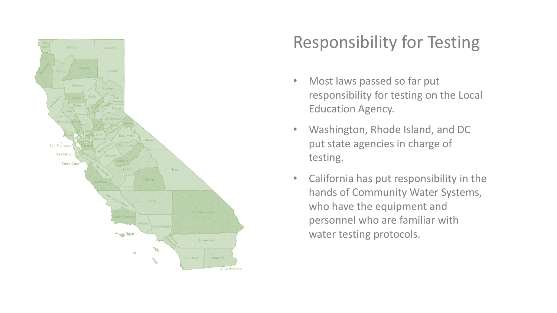

### Responsibility for Testing

- Most laws passed so far put responsibility for testing on the Local Education Agency.
- Washington, Rhode Island, and DC put state agencies in charge of testing.
- California has put responsibility in the hands of Community Water Systems, who have the equipment and personnel who are familiar with water testing protocols.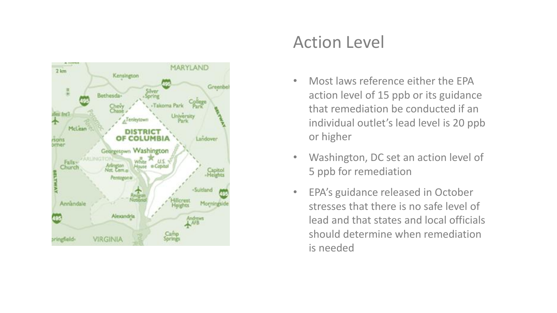

#### Action Level

- Most laws reference either the EPA action level of 15 ppb or its guidance that remediation be conducted if an individual outlet's lead level is 20 ppb or higher
- Washington, DC set an action level of 5 ppb for remediation
- EPA's guidance released in October stresses that there is no safe level of lead and that states and local officials should determine when remediation is needed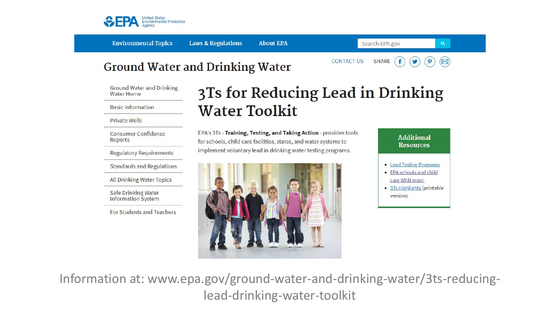

**Environmental Topics** 

**Laws & Regulations About EPA** 

**CONTACT US** 

Search EPA.gov

f

**SHARE** 

#### **Ground Water and Drinking Water**

**Ground Water and Drinking Water Home** 

**Basic Information** 

Private Wells

**Consumer Confidence** Reports

**Regulatory Requirements** 

**Standards and Regulations** 

**All Drinking Water Topics** 

Safe Drinking Water **Information System** 

For Students and Teachers

#### 3Ts for Reducing Lead in Drinking **Water Toolkit**

EPA's 3Ts - Training, Testing, and Taking Action - provides tools for schools, child care facilities, states, and water systems to implement voluntary lead in drinking water testing programs.





 $\mathbf{a}$ 

 $(\boxtimes)$ 

 $\boldsymbol{\varphi}$ 

v

Information at: www.epa.gov/ground-water-and-drinking-water/3ts-reducinglead-drinking-water-toolkit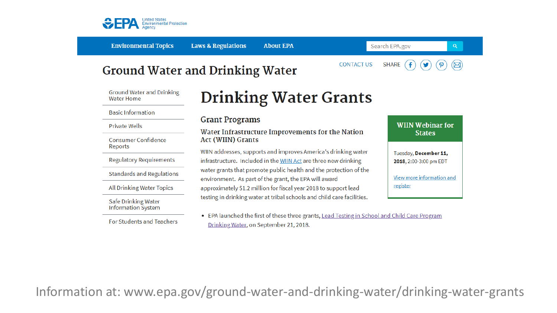

**Environmental Topics** 

**Laws & Regulations About EPA**  Search EPA.gov

#### **Ground Water and Drinking Water**

**CONTACT US** 



 $\alpha$ 

**Ground Water and Drinking Water Home** 

**Basic Information** 

**Private Wells** 

Consumer Confidence Reports

**Regulatory Requirements** 

**Standards and Regulations** 

All Drinking Water Topics

Safe Drinking Water **Information System** 

For Students and Teachers

### **Drinking Water Grants**

#### **Grant Programs**

Water Infrastructure Improvements for the Nation **Act (WIIN) Grants** 

WIIN addresses, supports and improves America's drinking water infrastructure. Included in the WIIN Act are three new drinking water grants that promote public health and the protection of the environment. As part of the grant, the EPA will award approximately \$1.2 million for fiscal year 2018 to support lead testing in drinking water at tribal schools and child care facilities.

• EPA launched the first of these three grants, Lead Testing in School and Child Care Program Drinking Water, on September 21, 2018.

**WIIN Webinar for States** Tuesday, December 11, 2018, 2:00-3:00 pm EDT View more information and register

Information at: www.epa.gov/ground-water-and-drinking-water/drinking-water-grants